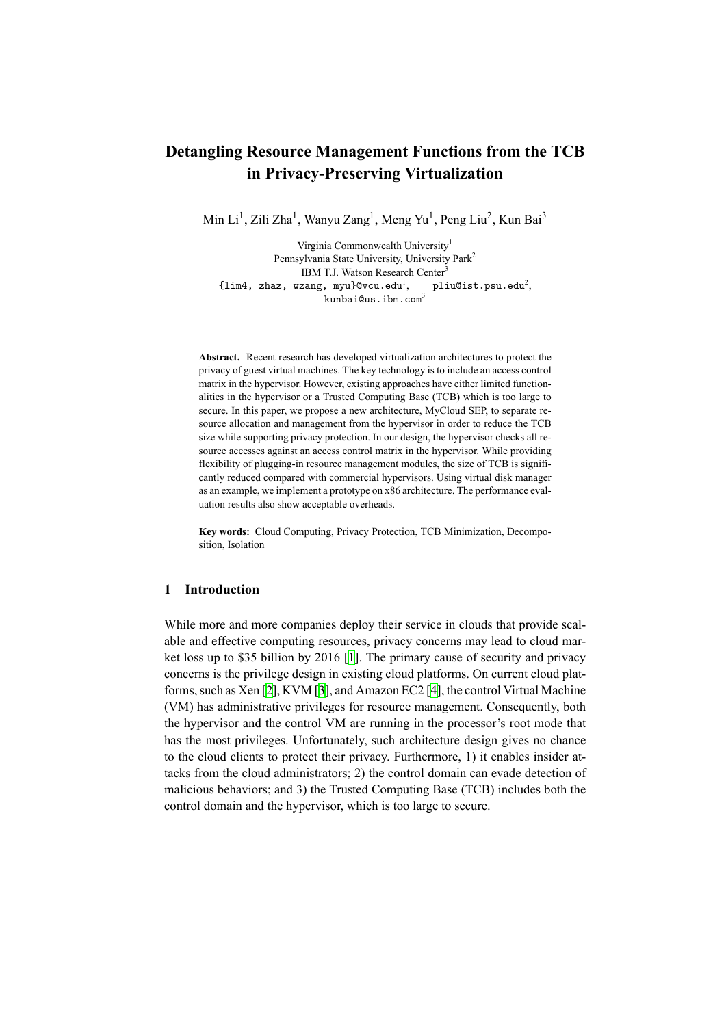# **Detangling Resource Management Functions from the TCB in Privacy-Preserving Virtualization**

Min Li<sup>1</sup>, Zili Zha<sup>1</sup>, Wanyu Zang<sup>1</sup>, Meng Yu<sup>1</sup>, Peng Liu<sup>2</sup>, Kun Bai<sup>3</sup>

Virginia Commonwealth University<sup>1</sup> Pennsylvania State University, University Park<sup>2</sup> IBM T.J. Watson Research Center<sup>3</sup>  ${lim4,$  zhaz, wzang, myu}@vcu.edu<sup>1</sup>, , pliu@ist.psu.edu $^2,$ kunbai@us.ibm.com $^3$ 

**Abstract.** Recent research has developed virtualization architectures to protect the privacy of guest virtual machines. The key technology is to include an access control matrix in the hypervisor. However, existing approaches have either limited functionalities in the hypervisor or a Trusted Computing Base (TCB) which is too large to secure. In this paper, we propose a new architecture, MyCloud SEP, to separate resource allocation and management from the hypervisor in order to reduce the TCB size while supporting privacy protection. In our design, the hypervisor checks all resource accesses against an access control matrix in the hypervisor. While providing flexibility of plugging-in resource management modules, the size of TCB is significantly reduced compared with commercial hypervisors. Using virtual disk manager as an example, we implement a prototype on x86 architecture. The performance evaluation results also show acceptable overheads.

**Key words:** Cloud Computing, Privacy Protection, TCB Minimization, Decomposition, Isolation

# **1 Introduction**

While more and more companies deploy their service in clouds that provide scalable and effective computing resources, privacy concerns may lead to cloud market loss up to \$35 billion by 2016 [1]. The primary cause of security and privacy concerns is the privilege design in existing cloud platforms. On current cloud platforms, such as Xen [2], KVM [3], and Amazon EC2 [4], the control Virtual Machine (VM) has administrative privileges for resource management. Consequently, both the hypervisor and the control VM [a](#page-16-0)re running in the processor's root mode that has the most privileges. Unfortunately, such architecture design gives no chance to the cloud clients [to](#page-16-1) protect [th](#page-16-2)eir privacy. Furthe[rm](#page-16-3)ore, 1) it enables insider attacks from the cloud administrators; 2) the control domain can evade detection of malicious behaviors; and 3) the Trusted Computing Base (TCB) includes both the control domain and the hypervisor, which is too large to secure.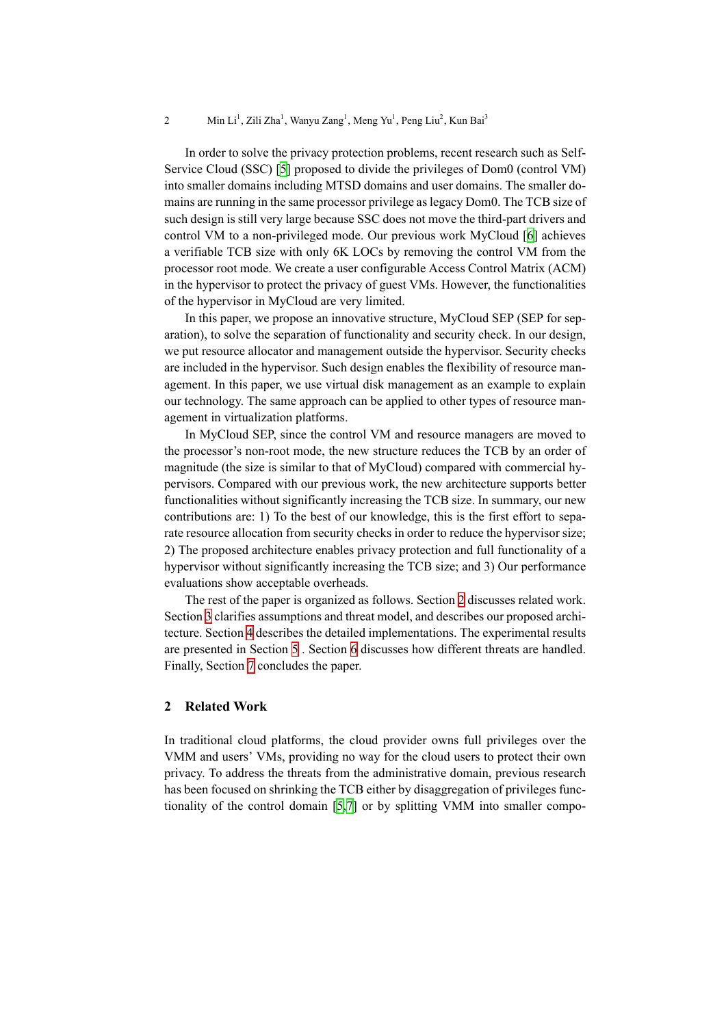In order to solve the privacy protection problems, recent research such as Self-Service Cloud (SSC) [5] proposed to divide the privileges of Dom0 (control VM) into smaller domains including MTSD domains and user domains. The smaller domains are running in the same processor privilege as legacy Dom0. The TCB size of such design is still very large because SSC does not move the third-part drivers and control VM to a non-[pr](#page-16-4)ivileged mode. Our previous work MyCloud [6] achieves a verifiable TCB size with only 6K LOCs by removing the control VM from the processor root mode. We create a user configurable Access Control Matrix (ACM) in the hypervisor to protect the privacy of guest VMs. However, the fu[nc](#page-16-5)tionalities of the hypervisor in MyCloud are very limited.

In this paper, we propose an innovative structure, MyCloud SEP (SEP for separation), to solve the separation of functionality and security check. In our design, we put resource allocator and management outside the hypervisor. Security checks are included in the hypervisor. Such design enables the flexibility of resource management. In this paper, we use virtual disk management as an example to explain our technology. The same approach can be applied to other types of resource management in virtualization platforms.

In MyCloud SEP, since the control VM and resource managers are moved to the processor's non-root mode, the new structure reduces the TCB by an order of magnitude (the size is similar to that of MyCloud) compared with commercial hypervisors. Compared with our previous work, the new architecture supports better functionalities without significantly increasing the TCB size. In summary, our new contributions are: 1) To the best of our knowledge, this is the first effort to separate resource allocation from security checks in order to reduce the hypervisor size; 2) The proposed architecture enables privacy protection and full functionality of a hypervisor without significantly increasing the TCB size; and 3) Our performance evaluations show acceptable overheads.

The rest of the paper is organized as follows. Section 2 discusses related work. Section 3 clarifies assumptions and threat model, and describes our proposed architecture. Section 4 describes the detailed implementations. The experimental results are presented in Section 5 . Section 6 discusses how diff[er](#page-1-0)ent threats are handled. Finally, [S](#page-3-0)ection 7 concludes the paper.

## **2 Related Work**

<span id="page-1-0"></span>In traditional cloud platforms, the cloud provider owns full privileges over the VMM and users' VMs, providing no way for the cloud users to protect their own privacy. To address the threats from the administrative domain, previous research has been focused on shrinking the TCB either by disaggregation of privileges functionality of the control domain [5,7] or by splitting VMM into smaller compo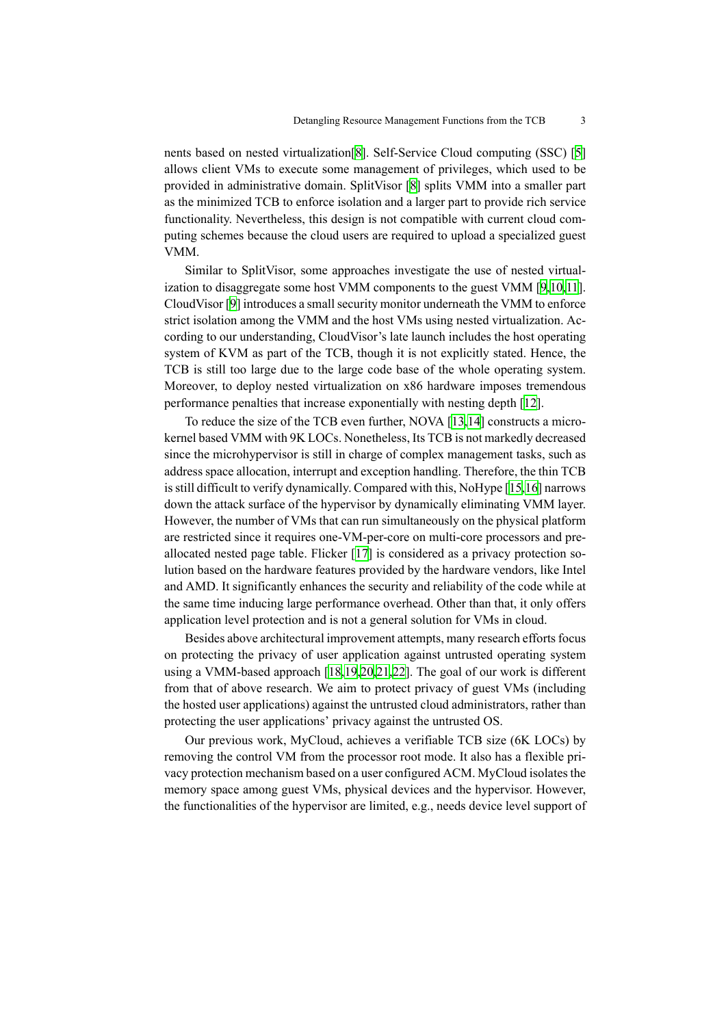nents based on nested virtualization[8]. Self-Service Cloud computing (SSC) [5] allows client VMs to execute some management of privileges, which used to be provided in administrative domain. SplitVisor [8] splits VMM into a smaller part as the minimized TCB to enforce isolation and a larger part to provide rich service functionality. Nevertheless, this desi[gn](#page-16-6) is not compatible with current cloud co[m](#page-16-4)puting schemes because the cloud users are req[ui](#page-16-6)red to upload a specialized guest VMM.

Similar to SplitVisor, some approaches investigate the use of nested virtualization to disaggregate some host VMM components to the guest VMM [9,10,11]. CloudVisor [9] introduces a small security monitor underneath the VMM to enforce strict isolation among the VMM and the host VMs using nested virtualization. According to our understanding, CloudVisor's late launch includes the host operating system of KVM as part of the TCB, though it is not explicitly stated. H[en](#page-16-7)[ce](#page-16-8)[, th](#page-16-9)e TCB is still [to](#page-16-7)o large due to the large code base of the whole operating system. Moreover, to deploy nested virtualization on x86 hardware imposes tremendous performance penalties that increase exponentially with nesting depth [12].

To reduce the size of the TCB even further, NOVA [13,14] constructs a microkernel based VMM with 9K LOCs. Nonetheless, Its TCB is not markedly decreased since the microhypervisor is still in charge of complex management t[ask](#page-16-10)s, such as address space allocation, interrupt and exception handling. Therefore, the thin TCB is still difficult to verify dynamically. Compared with thi[s, N](#page-16-11)[oH](#page-16-12)ype [15,16] narrows down the attack surface of the hypervisor by dynamically eliminating VMM layer. However, the number of VMs that can run simultaneously on the physical platform are restricted since it requires one-VM-per-core on multi-core processors and preallocated nested page table. Flicker [17] is considered as a privac[y pr](#page-16-13)[ote](#page-16-14)ction solution based on the hardware features provided by the hardware vendors, like Intel and AMD. It significantly enhances the security and reliability of the code while at the same time inducing large performance overhead. Other than that, it only offers application level protection and is no[t a](#page-17-0) general solution for VMs in cloud.

Besides above architectural improvement attempts, many research efforts focus on protecting the privacy of user application against untrusted operating system using a VMM-based approach [18,19,20,21,22]. The goal of our work is different from that of above research. We aim to protect privacy of guest VMs (including the hosted user applications) against the untrusted cloud administrators, rather than protecting the user applications' privacy against the untrusted OS.

Our previous work, MyClo[ud,](#page-17-1) [ac](#page-17-2)[hie](#page-17-3)[ves](#page-17-4) [a v](#page-17-5)erifiable TCB size (6K LOCs) by removing the control VM from the processor root mode. It also has a flexible privacy protection mechanism based on a user configured ACM. MyCloud isolates the memory space among guest VMs, physical devices and the hypervisor. However, the functionalities of the hypervisor are limited, e.g., needs device level support of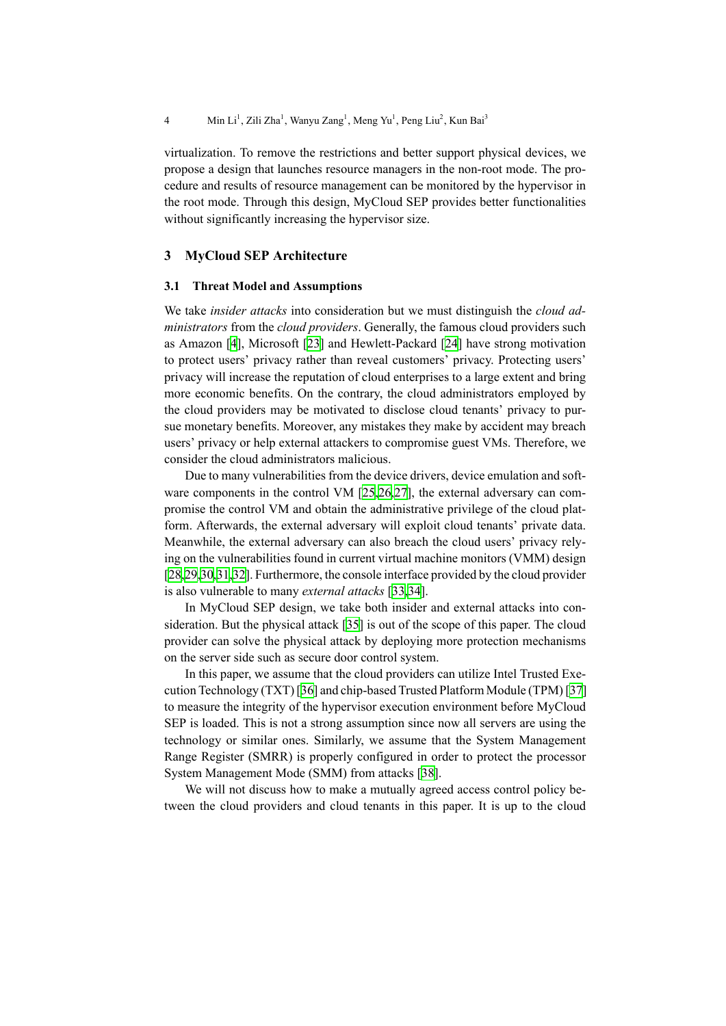virtualization. To remove the restrictions and better support physical devices, we propose a design that launches resource managers in the non-root mode. The procedure and results of resource management can be monitored by the hypervisor in the root mode. Through this design, MyCloud SEP provides better functionalities without significantly increasing the hypervisor size.

# **3 MyCloud SEP Architecture**

#### **3.1 Threat Model and Assumptions**

<span id="page-3-0"></span>We take *insider attacks* into consideration but we must distinguish the *cloud administrators* from the *cloud providers*. Generally, the famous cloud providers such as Amazon [4], Microsoft [23] and Hewlett-Packard [24] have strong motivation to protect users' privacy rather than reveal customers' privacy. Protecting users' privacy will increase the reputation of cloud enterprises to a large extent and bring more economic benefits. On the contrary, the cloud administrators employed by the cloud pr[ov](#page-16-3)iders may b[e m](#page-17-6)otivated to disclose cl[oud](#page-17-7) tenants' privacy to pursue monetary benefits. Moreover, any mistakes they make by accident may breach users' privacy or help external attackers to compromise guest VMs. Therefore, we consider the cloud administrators malicious.

Due to many vulnerabilities from the device drivers, device emulation and software components in the control VM [25,26,27], the external adversary can compromise the control VM and obtain the administrative privilege of the cloud platform. Afterwards, the external adversary will exploit cloud tenants' private data. Meanwhile, the external adversary can also breach the cloud users' privacy relying on the vulnerabilities found in curr[ent](#page-17-8) [vir](#page-17-9)[tua](#page-17-10)l machine monitors (VMM) design [28,29,30,31,32]. Furthermore, the console interface provided by the cloud provider is also vulnerable to many *external attacks* [33,34].

In MyCloud SEP design, we take both insider and external attacks into consideration. But the physical attack [35] is out of the scope of this paper. The cloud [pro](#page-17-11)[vid](#page-17-12)[er c](#page-17-13)[an](#page-17-14) [sol](#page-17-15)ve the physical attack by deploying more protection mechanisms on the server side such as secure door contr[ol s](#page-17-16)[yste](#page-17-17)m.

In this paper, we assume that the cloud providers can utilize Intel Trusted Execution Technology (TXT) [36] and [chip](#page-17-18)-based Trusted Platform Module (TPM) [37] to measure the integrity of the hypervisor execution environment before MyCloud SEP is loaded. This is not a strong assumption since now all servers are using the technology or similar ones. Similarly, we assume that the System Management Range Register (SMRR)i[s p](#page-17-19)roperly configured in order to protect the proce[ssor](#page-17-20) System Management Mode (SMM) from attacks [38].

We will not discuss how to make a mutually agreed access control policy between the cloud providers and cloud tenants in this paper. It is up to the cloud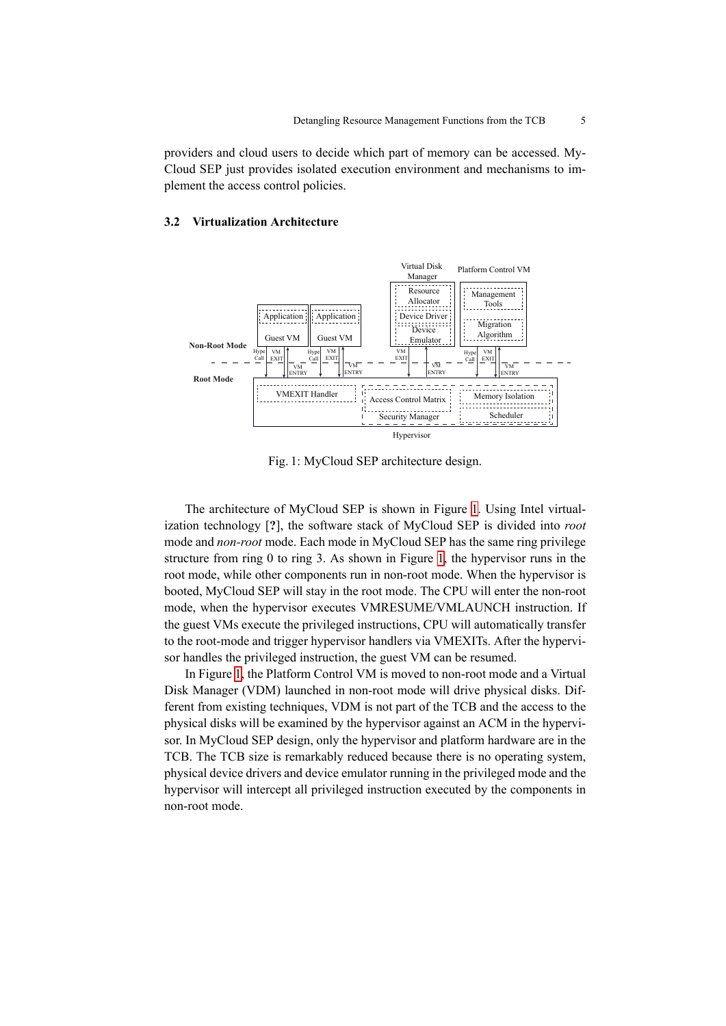providers and cloud users to decide which part of memory can be accessed. My-Cloud SEP just provides isolated execution environment and mechanisms to implement the access control policies.

<span id="page-4-0"></span>

# **3.2 Virtualization Architecture**

Fig. 1: MyCloud SEP architecture design.

The architecture of MyCloud SEP is shown in Figure 1. Using Intel virtualization technology [**?**], the software stack of MyCloud SEP is divided into *root* mode and *non-root* mode. Each mode in MyCloud SEP has the same ring privilege structure from ring 0 to ring 3. As shown in Figure 1, the hypervisor runs in the root mode, while other components run in non-root mode. [W](#page-4-0)hen the hypervisor is booted, MyCloud SEP will stay in the root mode. The CPU will enter the non-root mode, when the hypervisor executes VMRESUME/VMLAUNCH instruction. If the guest VMs execute the privileged instructions, C[PU](#page-4-0) will automatically transfer to the root-mode and trigger hypervisor handlers via VMEXITs. After the hypervisor handles the privileged instruction, the guest VM can be resumed.

In Figure 1, the Platform Control VM is moved to non-root mode and a Virtual Disk Manager (VDM) launched in non-root mode will drive physical disks. Different from existing techniques, VDM is not part of the TCB and the access to the physical disks will be examined by the hypervisor against an ACM in the hypervisor. In MyCl[ou](#page-4-0)d SEP design, only the hypervisor and platform hardware are in the TCB. The TCB size is remarkably reduced because there is no operating system, physical device drivers and device emulator running in the privileged mode and the hypervisor will intercept all privileged instruction executed by the components in non-root mode.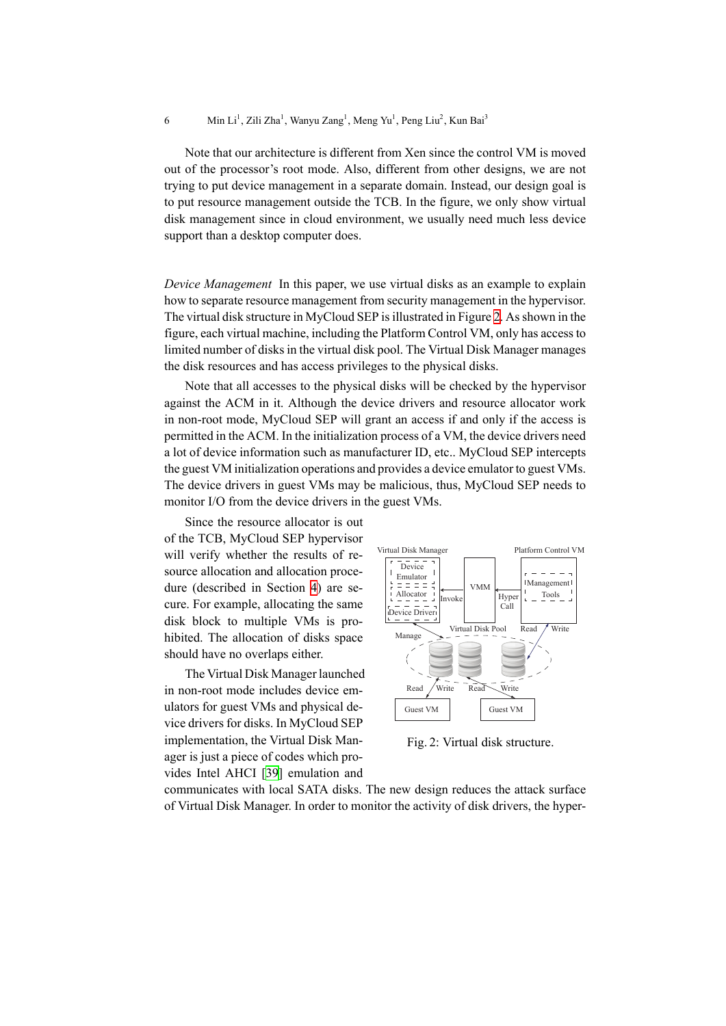Note that our architecture is different from Xen since the control VM is moved out of the processor's root mode. Also, different from other designs, we are not trying to put device management in a separate domain. Instead, our design goal is to put resource management outside the TCB. In the figure, we only show virtual disk management since in cloud environment, we usually need much less device support than a desktop computer does.

*Device Management* In this paper, we use virtual disks as an example to explain how to separate resource management from security management in the hypervisor. The virtual disk structure in MyCloud SEP is illustrated in Figure 2. As shown in the figure, each virtual machine, including the Platform Control VM, only has access to limited number of disks in the virtual disk pool. The Virtual Disk Manager manages the disk resources and has access privileges to the physical disks.

Note that all accesses to the physical disks will be checked [b](#page-5-0)y the hypervisor against the ACM in it. Although the device drivers and resource allocator work in non-root mode, MyCloud SEP will grant an access if and only if the access is permitted in the ACM. In the initialization process of a VM, the device drivers need a lot of device information such as manufacturer ID, etc.. MyCloud SEP intercepts the guest VM initialization operations and provides a device emulator to guest VMs. The device drivers in guest VMs may be malicious, thus, MyCloud SEP needs to monitor I/O from the device drivers in the guest VMs.

Since the resource allocator is out of the TCB, MyCloud SEP hypervisor will verify whether the results of resource allocation and allocation procedure (described in Section 4) are secure. For example, allocating the same disk block to multiple VMs is prohibited. The allocation of disks space should have no overlaps eit[her](#page-7-0).

The Virtual Disk Manager launched in non-root mode includes device emulators for guest VMs and physical device drivers for disks. In MyCloud SEP implementation, the Virtual Disk Manager is just a piece of codes which provides Intel AHCI [39] emulation and

<span id="page-5-0"></span>

Fig. 2: Virtual disk structure.

communicates with local SATA disks. The new design reduces the attack surface of Virtual Disk Manager. In order to monitor the activity of disk drivers, the hyper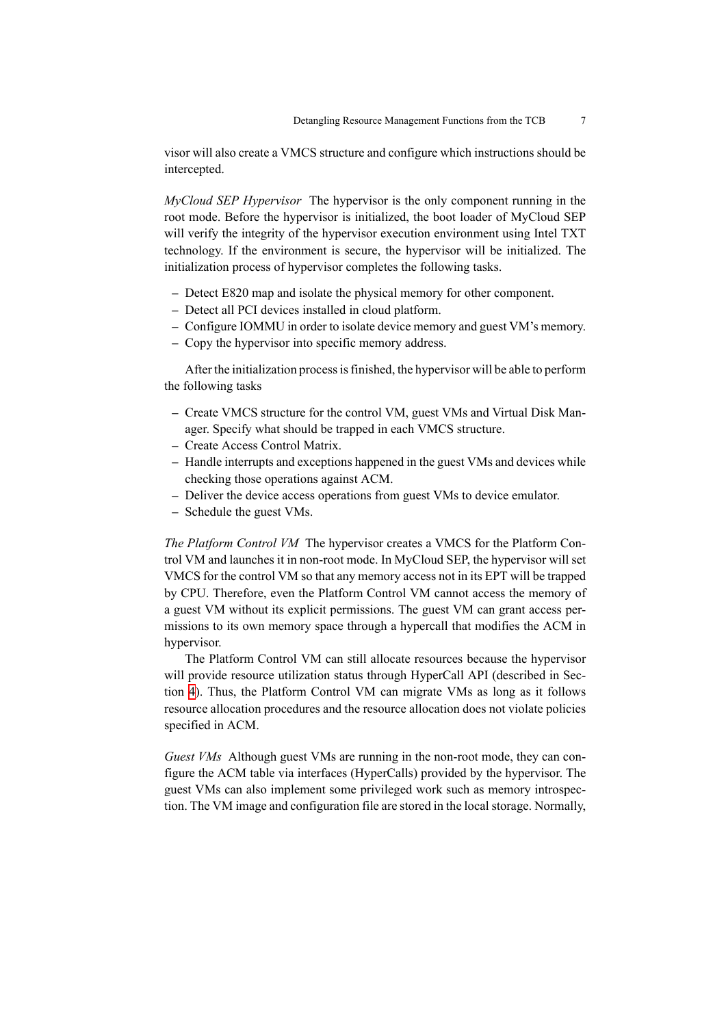visor will also create a VMCS structure and configure which instructions should be intercepted.

*MyCloud SEP Hypervisor* The hypervisor is the only component running in the root mode. Before the hypervisor is initialized, the boot loader of MyCloud SEP will verify the integrity of the hypervisor execution environment using Intel TXT technology. If the environment is secure, the hypervisor will be initialized. The initialization process of hypervisor completes the following tasks.

- **–** Detect E820 map and isolate the physical memory for other component.
- **–** Detect all PCI devices installed in cloud platform.
- **–** Configure IOMMU in order to isolate device memory and guest VM's memory.
- **–** Copy the hypervisor into specific memory address.

After the initialization process is finished, the hypervisor will be able to perform the following tasks

- **–** Create VMCS structure for the control VM, guest VMs and Virtual Disk Manager. Specify what should be trapped in each VMCS structure.
- **–** Create Access Control Matrix.
- **–** Handle interrupts and exceptions happened in the guest VMs and devices while checking those operations against ACM.
- **–** Deliver the device access operations from guest VMs to device emulator.
- **–** Schedule the guest VMs.

*The Platform Control VM* The hypervisor creates a VMCS for the Platform Control VM and launches it in non-root mode. In MyCloud SEP, the hypervisor will set VMCS for the control VM so that any memory access not in its EPT will be trapped by CPU. Therefore, even the Platform Control VM cannot access the memory of a guest VM without its explicit permissions. The guest VM can grant access permissions to its own memory space through a hypercall that modifies the ACM in hypervisor.

The Platform Control VM can still allocate resources because the hypervisor will provide resource utilization status through HyperCall API (described in Section 4). Thus, the Platform Control VM can migrate VMs as long as it follows resource allocation procedures and the resource allocation does not violate policies specified in ACM.

*Gue[st](#page-7-0) VMs* Although guest VMs are running in the non-root mode, they can configure the ACM table via interfaces (HyperCalls) provided by the hypervisor. The guest VMs can also implement some privileged work such as memory introspection. The VM image and configuration file are stored in the local storage. Normally,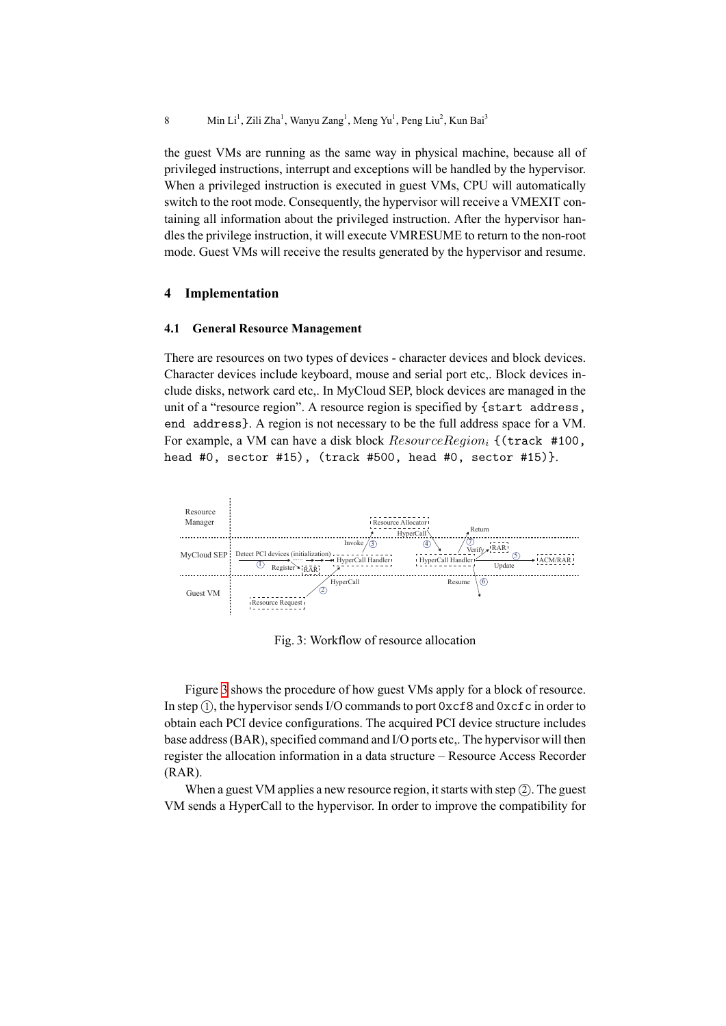the guest VMs are running as the same way in physical machine, because all of privileged instructions, interrupt and exceptions will be handled by the hypervisor. When a privileged instruction is executed in guest VMs, CPU will automatically switch to the root mode. Consequently, the hypervisor will receive a VMEXIT containing all information about the privileged instruction. After the hypervisor handles the privilege instruction, it will execute VMRESUME to return to the non-root mode. Guest VMs will receive the results generated by the hypervisor and resume.

# **4 Implementation**

#### **4.1 General Resource Management**

<span id="page-7-0"></span>There are resources on two types of devices - character devices and block devices. Character devices include keyboard, mouse and serial port etc,. Block devices include disks, network card etc,. In MyCloud SEP, block devices are managed in the unit of a "resource region". A resource region is specified by {start address, end address}. A region is not necessary to be the full address space for a VM. For example, a VM can have a disk block *ResourceRegion<sup>i</sup>* {(track #100, head #0, sector #15), (track #500, head #0, sector #15)}.

<span id="page-7-1"></span>

Fig. 3: Workflow of resource allocation

Figure 3 shows the procedure of how guest VMs apply for a block of resource. In step (1), the hypervisor sends I/O commands to port 0xcf8 and 0xcfc in order to obtain each PCI device configurations. The acquired PCI device structure includes base address (BAR), specified command and I/O ports etc,. The hypervisor will then register the [a](#page-7-1)llocation information in a data structure – Resource Access Recorder (RAR).

When a guest VM applies a new resource region, it starts with step  $(2)$ . The guest VM sends a HyperCall to the hypervisor. In order to improve the compatibility for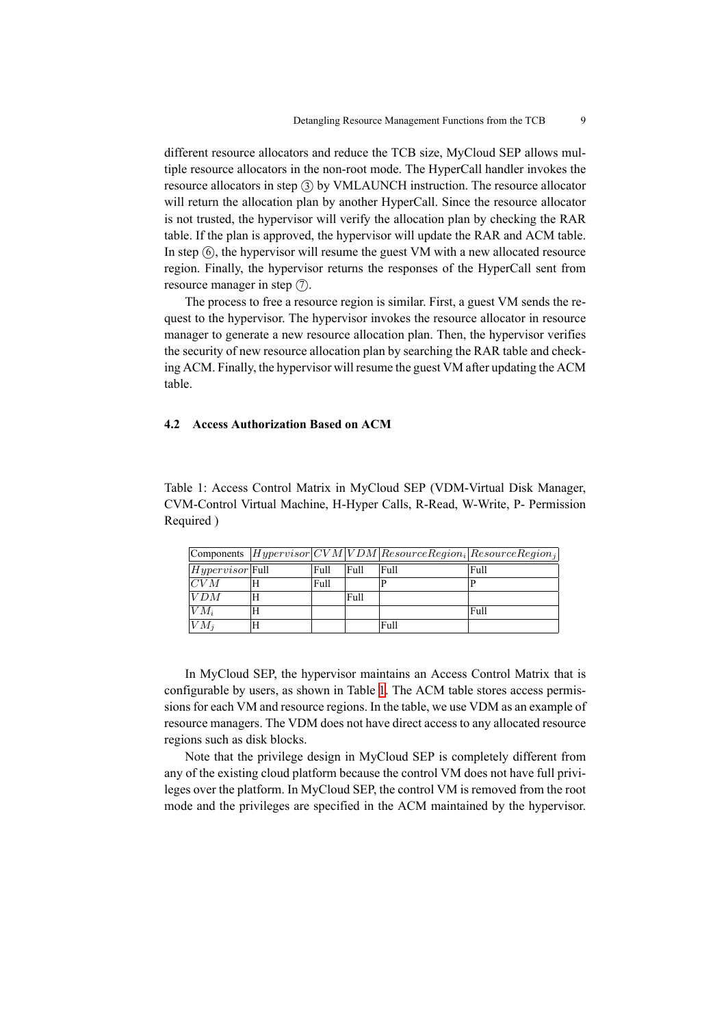different resource allocators and reduce the TCB size, MyCloud SEP allows multiple resource allocators in the non-root mode. The HyperCall handler invokes the resource allocators in step *⃝*<sup>3</sup> by VMLAUNCH instruction. The resource allocator will return the allocation plan by another HyperCall. Since the resource allocator is not trusted, the hypervisor will verify the allocation plan by checking the RAR table. If the plan is approved, the hypervisor will update the RAR and ACM table. In step  $(6)$ , the hypervisor will resume the guest VM with a new allocated resource region. Finally, the hypervisor returns the responses of the HyperCall sent from resource manager in step  $(7)$ .

The process to free a resource region is similar. First, a guest VM sends the request to the hypervisor. The hypervisor invokes the resource allocator in resource manager to generate a new resource allocation plan. Then, the hypervisor verifies the security of new resource allocation plan by searching the RAR table and checking ACM. Finally, the hypervisor will resume the guest VM after updating the ACM table.

#### **4.2 Access Authorization Based on ACM**

Table 1: Access Control Matrix in MyCloud SEP (VDM-Virtual Disk Manager, CVM-Control Virtual Machine, H-Hyper Calls, R-Read, W-Write, P- Permission Required )

<span id="page-8-0"></span>

|                     |      |      |      | $[Components]$ $[Hypervisor]$ $CVM VDM $ $ResourceRegion_i]$ $ResourceRegion_j)$ |
|---------------------|------|------|------|----------------------------------------------------------------------------------|
| $ Hypervisor $ Full | Full | Full | Full | Full                                                                             |
| CVM                 | Full |      |      |                                                                                  |
| VDM                 |      | Full |      |                                                                                  |
| $VM_i$              |      |      |      | Full                                                                             |
| $VM_i$              |      |      | Full |                                                                                  |

In MyCloud SEP, the hypervisor maintains an Access Control Matrix that is configurable by users, as shown in Table 1. The ACM table stores access permissions for each VM and resource regions. In the table, we use VDM as an example of resource managers. The VDM does not have direct access to any allocated resource regions such as disk blocks.

Note that the privilege design in My[C](#page-8-0)loud SEP is completely different from any of the existing cloud platform because the control VM does not have full privileges over the platform. In MyCloud SEP, the control VM is removed from the root mode and the privileges are specified in the ACM maintained by the hypervisor.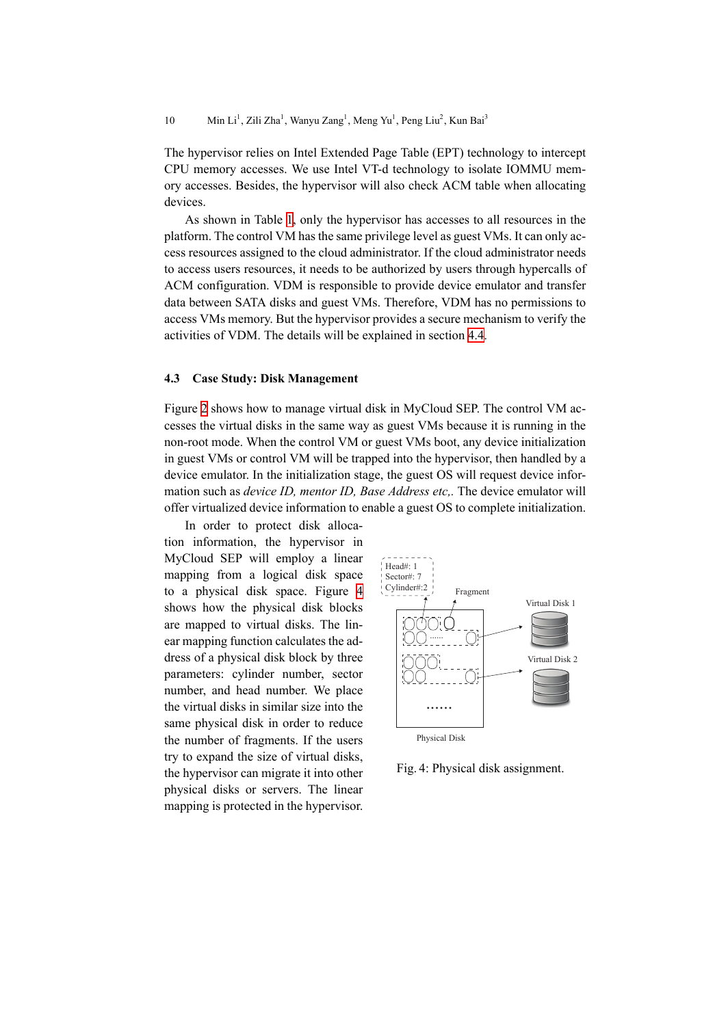The hypervisor relies on Intel Extended Page Table (EPT) technology to intercept CPU memory accesses. We use Intel VT-d technology to isolate IOMMU memory accesses. Besides, the hypervisor will also check ACM table when allocating devices.

As shown in Table 1, only the hypervisor has accesses to all resources in the platform. The control VM has the same privilege level as guest VMs. It can only access resources assigned to the cloud administrator. If the cloud administrator needs to access users resources, it needs to be authorized by users through hypercalls of ACM configuration. V[DM](#page-8-0) is responsible to provide device emulator and transfer data between SATA disks and guest VMs. Therefore, VDM has no permissions to access VMs memory. But the hypervisor provides a secure mechanism to verify the activities of VDM. The details will be explained in section 4.4.

#### **4.3 Case Study: Disk Management**

Figure 2 shows how to manage virtual disk in MyCloud SEP. The control VM accesses the virtual disks in the same way as guest VMs because it is running in the non-root mode. When the control VM or guest VMs boot, any device initialization in guest VMs or control VM will be trapped into the hypervisor, then handled by a device [em](#page-5-0)ulator. In the initialization stage, the guest OS will request device information such as *device ID, mentor ID, Base Address etc,.* The device emulator will offer virtualized device information to enable a guest OS to complete initialization.

In order to protect disk allocation information, the hypervisor in MyCloud SEP will employ a linear mapping from a logical disk space to a physical disk space. Figure 4 shows how the physical disk blocks are mapped to virtual disks. The linear mapping function calculates the address of a physical disk block by thr[ee](#page-9-0) parameters: cylinder number, sector number, and head number. We place the virtual disks in similar size into the same physical disk in order to reduce the number of fragments. If the users try to expand the size of virtual disks, the hypervisor can migrate it into other physical disks or servers. The linear mapping is protected in the hypervisor.

<span id="page-9-0"></span>

Fig. 4: Physical disk assignment.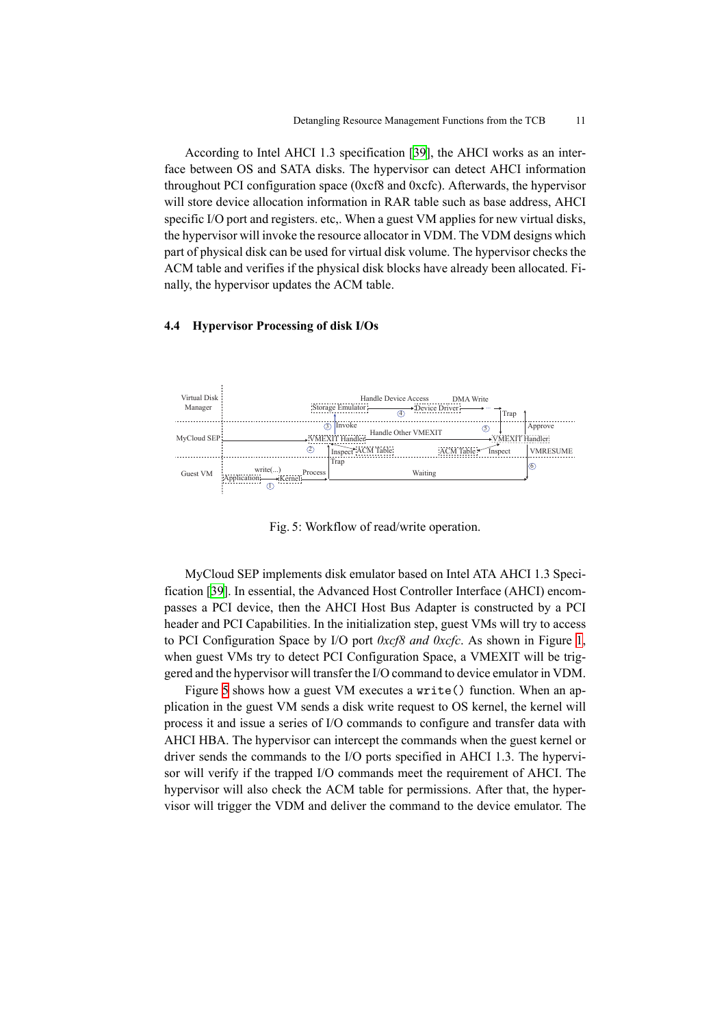According to Intel AHCI 1.3 specification [39], the AHCI works as an interface between OS and SATA disks. The hypervisor can detect AHCI information throughout PCI configuration space (0xcf8 and 0xcfc). Afterwards, the hypervisor will store device allocation information in RAR table such as base address, AHCI specific I/O port and registers. etc.. When a gues[t VM](#page-17-21) applies for new virtual disks, the hypervisor will invoke the resource allocator in VDM. The VDM designs which part of physical disk can be used for virtual disk volume. The hypervisor checks the ACM table and verifies if the physical disk blocks have already been allocated. Finally, the hypervisor updates the ACM table.

#### **4.4 Hypervisor Processing of disk I/Os**

<span id="page-10-0"></span>

Fig. 5: Workflow of read/write operation.

MyCloud SEP implements disk emulator based on Intel ATA AHCI 1.3 Specification [39]. In essential, the Advanced Host Controller Interface (AHCI) encompasses a PCI device, then the AHCI Host Bus Adapter is constructed by a PCI header and PCI Capabilities. In the initialization step, guest VMs will try to access to PCI Configuration Space by I/O port *0xcf8 and 0xcfc*. As shown in Figure 1, when gu[est](#page-17-21) VMs try to detect PCI Configuration Space, a VMEXIT will be triggered and the hypervisor will transfer the I/O command to device emulator in VDM.

Figure 5 shows how a guest VM executes a write() function. When an application in the guest VM sends a disk write request to OS kernel, the kernel w[ill](#page-4-0) process it and issue a series of I/O commands to configure and transfer data with AHCI HBA. The hypervisor can intercept the commands when the guest kernel or driver sen[ds](#page-10-0) the commands to the I/O ports specified in AHCI 1.3. The hypervisor will verify if the trapped I/O commands meet the requirement of AHCI. The hypervisor will also check the ACM table for permissions. After that, the hypervisor will trigger the VDM and deliver the command to the device emulator. The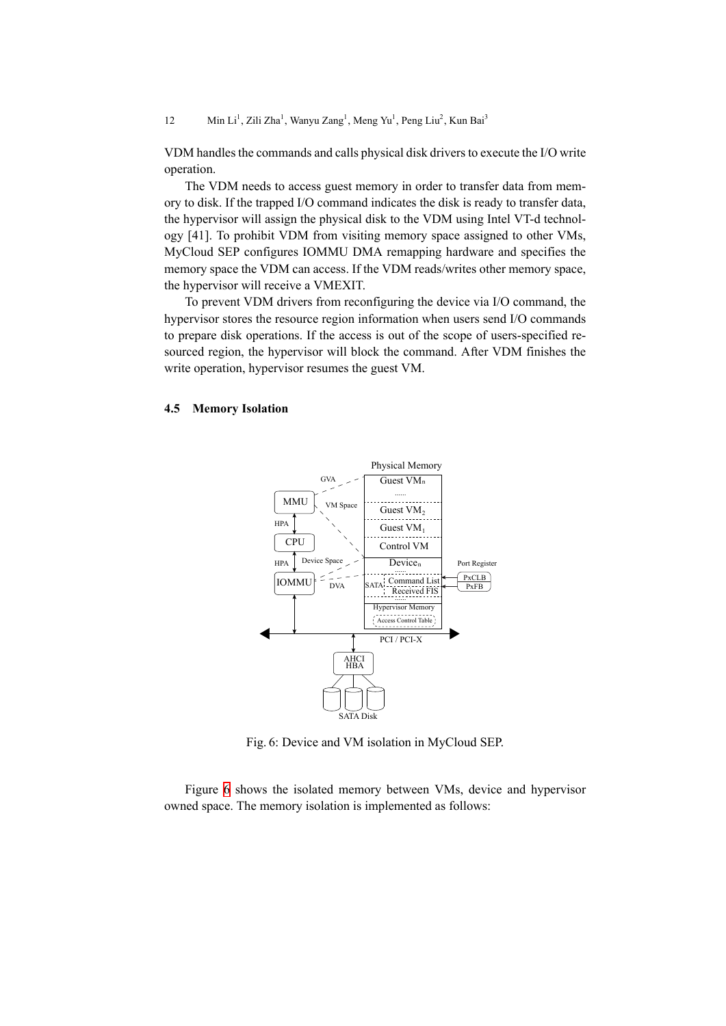VDM handles the commands and calls physical disk drivers to execute the I/O write operation.

The VDM needs to access guest memory in order to transfer data from memory to disk. If the trapped I/O command indicates the disk is ready to transfer data, the hypervisor will assign the physical disk to the VDM using Intel VT-d technology [41]. To prohibit VDM from visiting memory space assigned to other VMs, MyCloud SEP configures IOMMU DMA remapping hardware and specifies the memory space the VDM can access. If the VDM reads/writes other memory space, the hypervisor will receive a VMEXIT.

To prevent VDM drivers from reconfiguring the device via I/O command, the hypervisor stores the resource region information when users send I/O commands to prepare disk operations. If the access is out of the scope of users-specified resourced region, the hypervisor will block the command. After VDM finishes the write operation, hypervisor resumes the guest VM.

# **4.5 Memory Isolation**



Fig. 6: Device and VM isolation in MyCloud SEP.

Figure 6 shows the isolated memory between VMs, device and hypervisor owned space. The memory isolation is implemented as follows: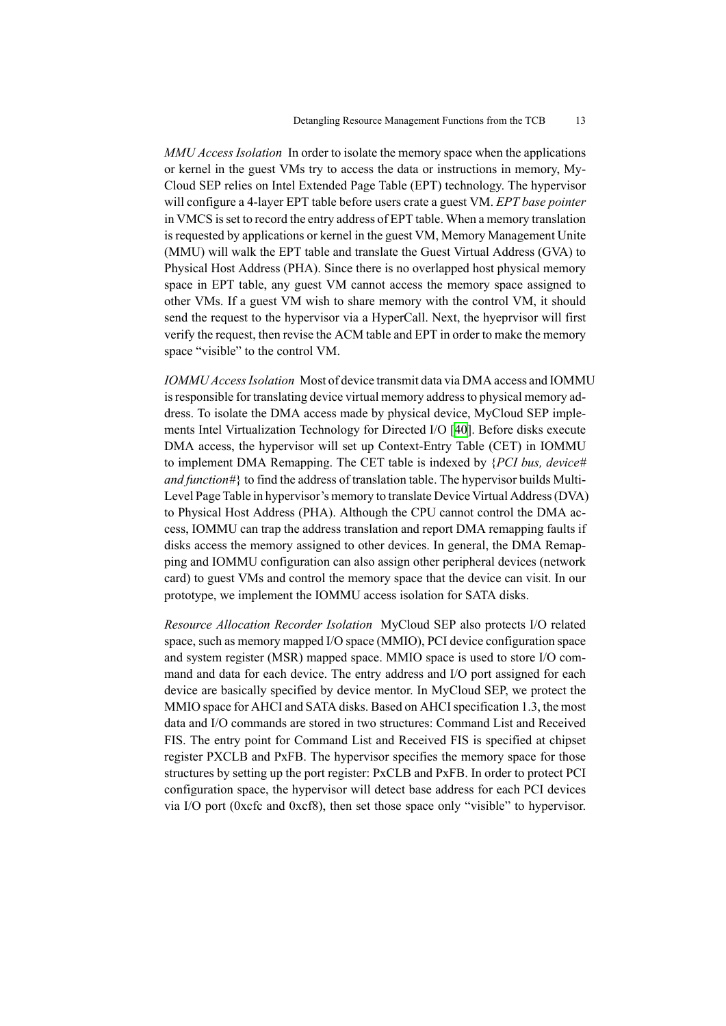*MMU Access Isolation* In order to isolate the memory space when the applications or kernel in the guest VMs try to access the data or instructions in memory, My-Cloud SEP relies on Intel Extended Page Table (EPT) technology. The hypervisor will configure a 4-layer EPT table before users crate a guest VM. *EPT base pointer* in VMCS is set to record the entry address of EPT table. When a memory translation is requested by applications or kernel in the guest VM, Memory Management Unite (MMU) will walk the EPT table and translate the Guest Virtual Address (GVA) to Physical Host Address (PHA). Since there is no overlapped host physical memory space in EPT table, any guest VM cannot access the memory space assigned to other VMs. If a guest VM wish to share memory with the control VM, it should send the request to the hypervisor via a HyperCall. Next, the hyeprvisor will first verify the request, then revise the ACM table and EPT in order to make the memory space "visible" to the control VM.

*IOMMU Access Isolation* Most of device transmit data via DMA access and IOMMU is responsible for translating device virtual memory address to physical memory address. To isolate the DMA access made by physical device, MyCloud SEP implements Intel Virtualization Technology for Directed I/O [40]. Before disks execute DMA access, the hypervisor will set up Context-Entry Table (CET) in IOMMU to implement DMA Remapping. The CET table is indexed by {*PCI bus, device# and function#*} to find the address of translation table. The hypervisor builds Multi-Level Page Table in hypervisor's memory to translate De[vice](#page-17-22) Virtual Address (DVA) to Physical Host Address (PHA). Although the CPU cannot control the DMA access, IOMMU can trap the address translation and report DMA remapping faults if disks access the memory assigned to other devices. In general, the DMA Remapping and IOMMU configuration can also assign other peripheral devices (network card) to guest VMs and control the memory space that the device can visit. In our prototype, we implement the IOMMU access isolation for SATA disks.

*Resource Allocation Recorder Isolation* MyCloud SEP also protects I/O related space, such as memory mapped I/O space (MMIO), PCI device configuration space and system register (MSR) mapped space. MMIO space is used to store I/O command and data for each device. The entry address and I/O port assigned for each device are basically specified by device mentor. In MyCloud SEP, we protect the MMIO space for AHCI and SATA disks. Based on AHCI specification 1.3, the most data and I/O commands are stored in two structures: Command List and Received FIS. The entry point for Command List and Received FIS is specified at chipset register PXCLB and PxFB. The hypervisor specifies the memory space for those structures by setting up the port register: PxCLB and PxFB. In order to protect PCI configuration space, the hypervisor will detect base address for each PCI devices via I/O port (0xcfc and 0xcf8), then set those space only "visible" to hypervisor.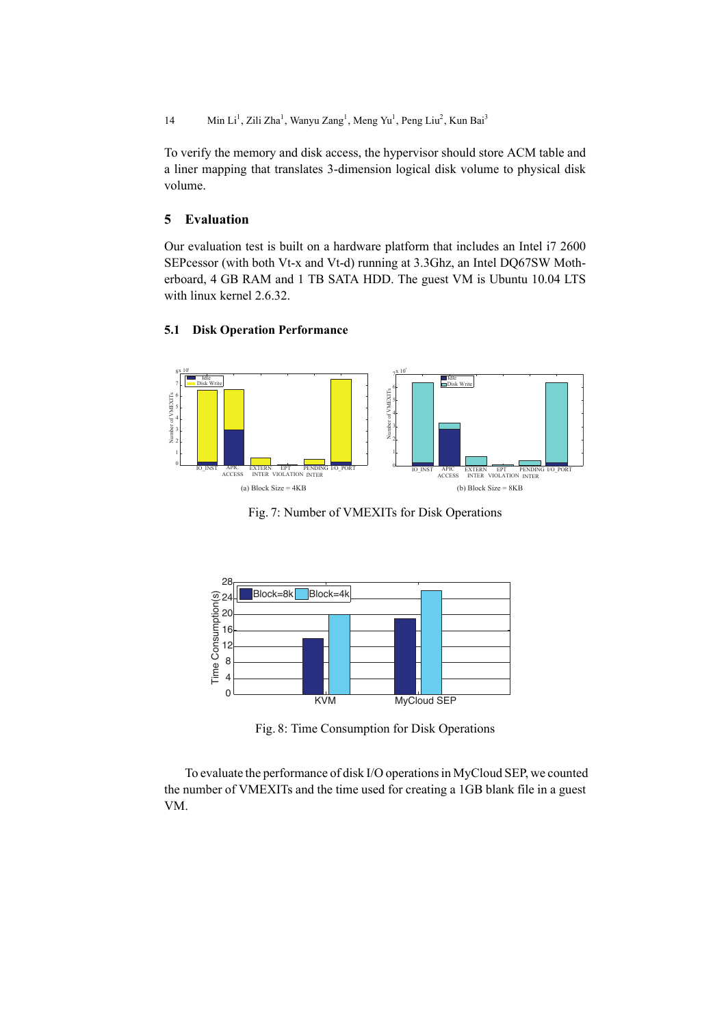14 Min Li<sup>1</sup>, Zili Zha<sup>1</sup>, Wanyu Zang<sup>1</sup>, Meng Yu<sup>1</sup>, Peng Liu<sup>2</sup>, Kun Bai<sup>3</sup>

To verify the memory and disk access, the hypervisor should store ACM table and a liner mapping that translates 3-dimension logical disk volume to physical disk volume.

# **5 Evaluation**

Our evaluation test is built on a hardware platform that includes an Intel i7 2600 SEPcessor (with both Vt-x and Vt-d) running at 3.3Ghz, an Intel DQ67SW Motherboard, 4 GB RAM and 1 TB SATA HDD. The guest VM is Ubuntu 10.04 LTS with linux kernel 2.6.32.

# **5.1 Disk Operation Performance**

<span id="page-13-0"></span>

Fig. 7: Number of VMEXITs for Disk Operations

<span id="page-13-1"></span>

Fig. 8: Time Consumption for Disk Operations

To evaluate the performance of disk I/O operations in MyCloud SEP, we counted the number of VMEXITs and the time used for creating a 1GB blank file in a guest VM.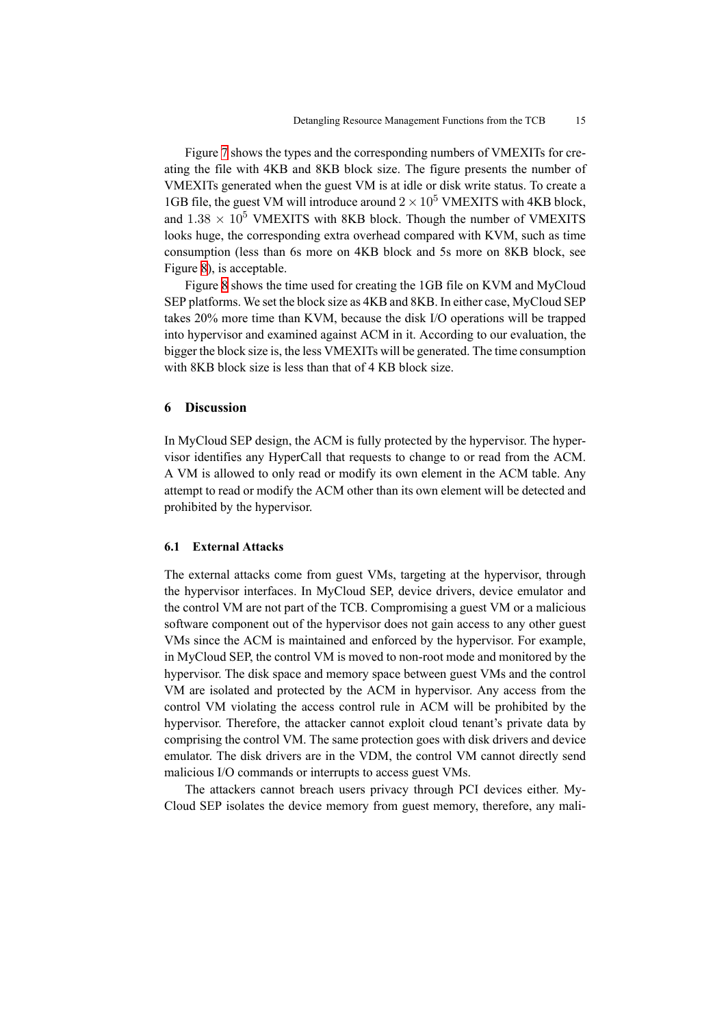Figure 7 shows the types and the corresponding numbers of VMEXITs for creating the file with 4KB and 8KB block size. The figure presents the number of VMEXITs generated when the guest VM is at idle or disk write status. To create a 1GB file, t[he](#page-13-0) guest VM will introduce around  $2 \times 10^5$  VMEXITS with 4KB block, and  $1.38 \times 10^5$  VMEXITS with 8KB block. Though the number of VMEXITS looks huge, the corresponding extra overhead compared with KVM, such as time consumption (less than 6s more on 4KB block and 5s more on 8KB block, see Figure 8), is acceptable.

Figure 8 shows the time used for creating the 1GB file on KVM and MyCloud SEP platforms. We set the block size as 4KB and 8KB. In either case, MyCloud SEP takes 20% more time than KVM, because the disk I/O operations will be trapped into hy[pe](#page-13-1)rvisor and examined against ACM in it. According to our evaluation, the bigger the [blo](#page-13-1)ck size is, the less VMEXITs will be generated. The time consumption with 8KB block size is less than that of 4 KB block size.

#### **6 Discussion**

In MyCloud SEP design, the ACM is fully protected by the hypervisor. The hypervisor identifies any HyperCall that requests to change to or read from the ACM. A VM is allowed to only read or modify its own element in the ACM table. Any attempt to read or modify the ACM other than its own element will be detected and prohibited by the hypervisor.

#### **6.1 External Attacks**

The external attacks come from guest VMs, targeting at the hypervisor, through the hypervisor interfaces. In MyCloud SEP, device drivers, device emulator and the control VM are not part of the TCB. Compromising a guest VM or a malicious software component out of the hypervisor does not gain access to any other guest VMs since the ACM is maintained and enforced by the hypervisor. For example, in MyCloud SEP, the control VM is moved to non-root mode and monitored by the hypervisor. The disk space and memory space between guest VMs and the control VM are isolated and protected by the ACM in hypervisor. Any access from the control VM violating the access control rule in ACM will be prohibited by the hypervisor. Therefore, the attacker cannot exploit cloud tenant's private data by comprising the control VM. The same protection goes with disk drivers and device emulator. The disk drivers are in the VDM, the control VM cannot directly send malicious I/O commands or interrupts to access guest VMs.

The attackers cannot breach users privacy through PCI devices either. My-Cloud SEP isolates the device memory from guest memory, therefore, any mali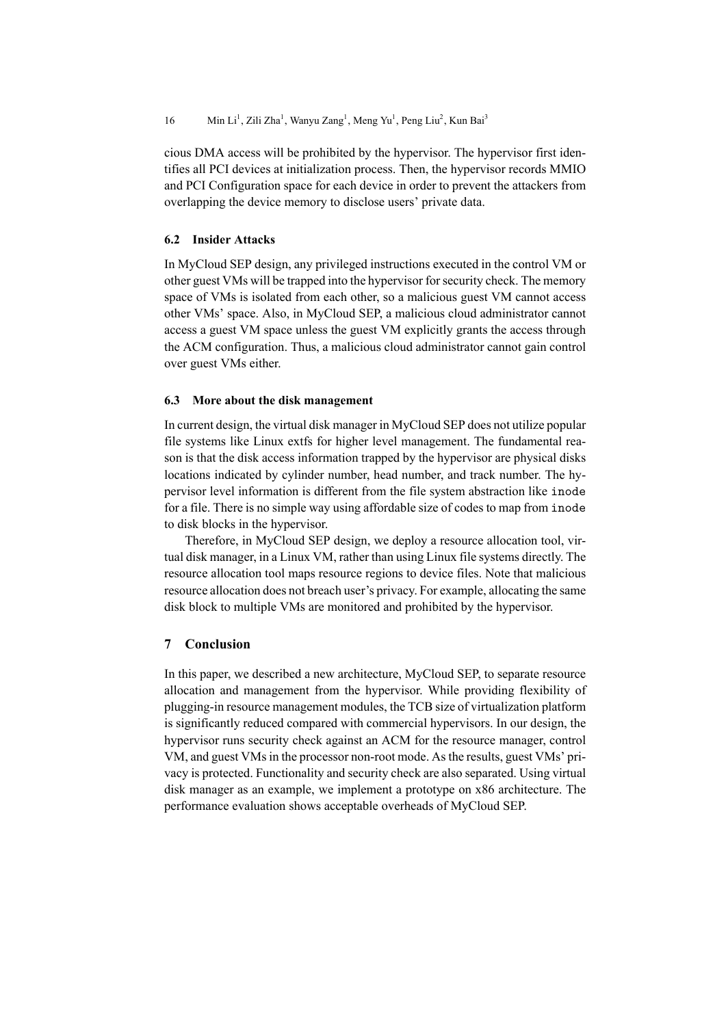16 Min Li<sup>1</sup>, Zili Zha<sup>1</sup>, Wanyu Zang<sup>1</sup>, Meng Yu<sup>1</sup>, Peng Liu<sup>2</sup>, Kun Bai<sup>3</sup>

cious DMA access will be prohibited by the hypervisor. The hypervisor first identifies all PCI devices at initialization process. Then, the hypervisor records MMIO and PCI Configuration space for each device in order to prevent the attackers from overlapping the device memory to disclose users' private data.

# **6.2 Insider Attacks**

In MyCloud SEP design, any privileged instructions executed in the control VM or other guest VMs will be trapped into the hypervisor for security check. The memory space of VMs is isolated from each other, so a malicious guest VM cannot access other VMs' space. Also, in MyCloud SEP, a malicious cloud administrator cannot access a guest VM space unless the guest VM explicitly grants the access through the ACM configuration. Thus, a malicious cloud administrator cannot gain control over guest VMs either.

#### **6.3 More about the disk management**

In current design, the virtual disk manager in MyCloud SEP does not utilize popular file systems like Linux extfs for higher level management. The fundamental reason is that the disk access information trapped by the hypervisor are physical disks locations indicated by cylinder number, head number, and track number. The hypervisor level information is different from the file system abstraction like inode for a file. There is no simple way using affordable size of codes to map from inode to disk blocks in the hypervisor.

Therefore, in MyCloud SEP design, we deploy a resource allocation tool, virtual disk manager, in a Linux VM, rather than using Linux file systems directly. The resource allocation tool maps resource regions to device files. Note that malicious resource allocation does not breach user's privacy. For example, allocating the same disk block to multiple VMs are monitored and prohibited by the hypervisor.

# **7 Conclusion**

In this paper, we described a new architecture, MyCloud SEP, to separate resource allocation and management from the hypervisor. While providing flexibility of plugging-in resource management modules, the TCB size of virtualization platform is significantly reduced compared with commercial hypervisors. In our design, the hypervisor runs security check against an ACM for the resource manager, control VM, and guest VMs in the processor non-root mode. As the results, guest VMs' privacy is protected. Functionality and security check are also separated. Using virtual disk manager as an example, we implement a prototype on x86 architecture. The performance evaluation shows acceptable overheads of MyCloud SEP.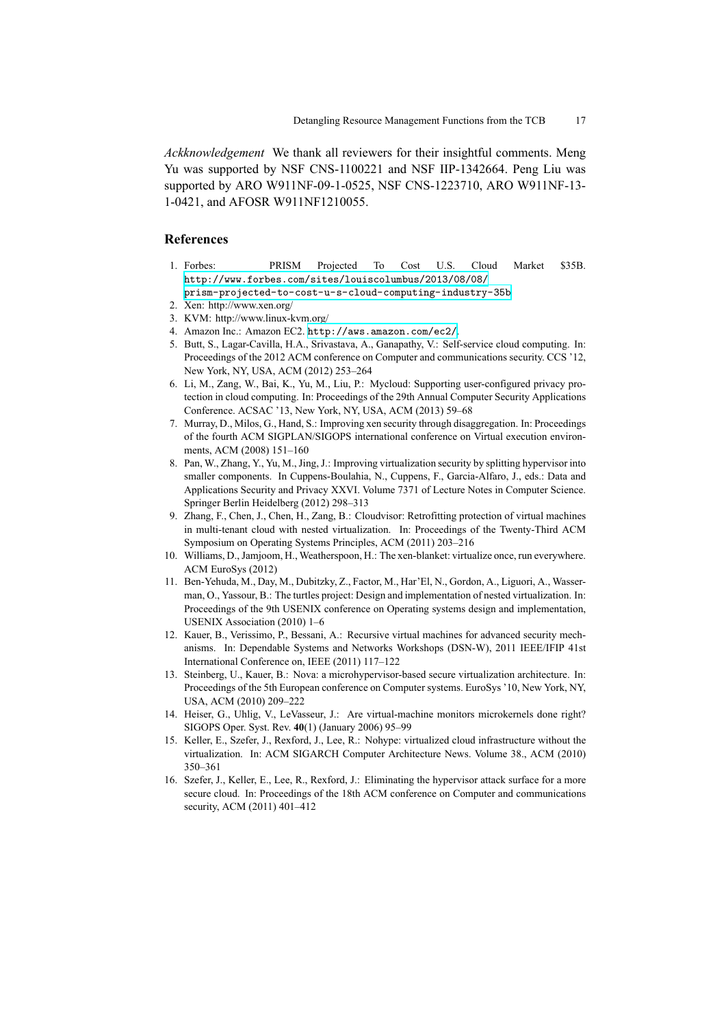*Ackknowledgement* We thank all reviewers for their insightful comments. Meng Yu was supported by NSF CNS-1100221 and NSF IIP-1342664. Peng Liu was supported by ARO W911NF-09-1-0525, NSF CNS-1223710, ARO W911NF-13- 1-0421, and AFOSR W911NF1210055.

#### **References**

- 1. Forbes: PRISM Projected To Cost U.S. Cloud Market \$35B. http://www.forbes.com/sites/louiscolumbus/2013/08/08/ prism-projected-to-cost-u-s-cloud-computing-industry-35b
- 2. Xen: http://www.xen.org/
- <span id="page-16-0"></span>3. KVM: http://www.linux-kvm.org/
- 4. Amazon Inc.: Amazon EC2. http://aws.amazon.com/ec2/.
- <span id="page-16-1"></span>5. [Butt, S., Lagar-Cavilla, H.A., Srivastava, A., Ganapathy, V.: Self-service](http://www.forbes.com/sites/louiscolumbus/2013/08/08/prism-projected-to-cost-u-s-cloud-computing-industry-35b) cloud computing. In: [Proceedings of the 2012 ACM conference on Computer and communications s](http://www.forbes.com/sites/louiscolumbus/2013/08/08/prism-projected-to-cost-u-s-cloud-computing-industry-35b)ecurity. CCS '12, New York, NY, USA, ACM (2012) 253–264
- <span id="page-16-4"></span><span id="page-16-3"></span><span id="page-16-2"></span>6. Li, M., Zang, W., Bai, K., Yu, M., Liu, P.: Mycloud: Supporting user-configured privacy protection in cloud computing.I[n: Proceedings of the 29th Annual C](http://aws.amazon.com/ec2/)omputer Security Applications Conference. ACSAC '13, New York, NY, USA, ACM (2013) 59–68
- <span id="page-16-5"></span>7. Murray, D., Milos, G., Hand, S.: Improving xen security through disaggregation. In: Proceedings of the fourth ACM SIGPLAN/SIGOPS international conference on Virtual execution environments, ACM (2008) 151–160
- 8. Pan, W., Zhang, Y., Yu, M., Jing, J.: Improving virtualization security by splitting hypervisor into smaller components. In Cuppens-Boulahia, N., Cuppens, F., Garcia-Alfaro, J., eds.: Data and Applications Security and Privacy XXVI. Volume 7371 of Lecture Notes in Computer Science. Springer Berlin Heidelberg (2012) 298–313
- <span id="page-16-6"></span>9. Zhang, F., Chen, J., Chen, H., Zang, B.: Cloudvisor: Retrofitting protection of virtual machines in multi-tenant cloud with nested virtualization. In: Proceedings of the Twenty-Third ACM Symposium on Operating Systems Principles, ACM (2011) 203–216
- 10. Williams, D., Jamjoom, H., Weatherspoon, H.: The xen-blanket: virtualize once, run everywhere. ACM EuroSys (2012)
- <span id="page-16-7"></span>11. Ben-Yehuda, M., Day, M., Dubitzky, Z., Factor, M., Har'El, N., Gordon, A., Liguori, A., Wasserman, O., Yassour, B.: The turtles project: Design and implementation of nested virtualization. In: Proceedings of the 9th USENIX conference on Operating systems design and implementation, USENIX Association (2010) 1–6
- <span id="page-16-9"></span><span id="page-16-8"></span>12. Kauer, B., Verissimo, P., Bessani, A.: Recursive virtual machines for advanced security mechanisms. In: Dependable Systems and Networks Workshops (DSN-W), 2011 IEEE/IFIP 41st International Conference on, IEEE (2011) 117–122
- <span id="page-16-10"></span>13. Steinberg, U., Kauer, B.: Nova: a microhypervisor-based secure virtualization architecture. In: Proceedings of the 5th European conference on Computer systems. EuroSys '10, New York, NY, USA, ACM (2010) 209–222
- 14. Heiser, G., Uhlig, V., LeVasseur, J.: Are virtual-machine monitors microkernels done right? SIGOPS Oper. Syst. Rev. **40**(1) (January 2006) 95–99
- <span id="page-16-11"></span>15. Keller, E., Szefer, J., Rexford, J., Lee, R.: Nohype: virtualized cloud infrastructure without the virtualization. In: ACM SIGARCH Computer Architecture News. Volume 38., ACM (2010) 350–361
- <span id="page-16-14"></span><span id="page-16-13"></span><span id="page-16-12"></span>16. Szefer, J., Keller, E., Lee, R., Rexford, J.: Eliminating the hypervisor attack surface for a more secure cloud. In: Proceedings of the 18th ACM conference on Computer and communications security, ACM (2011) 401–412